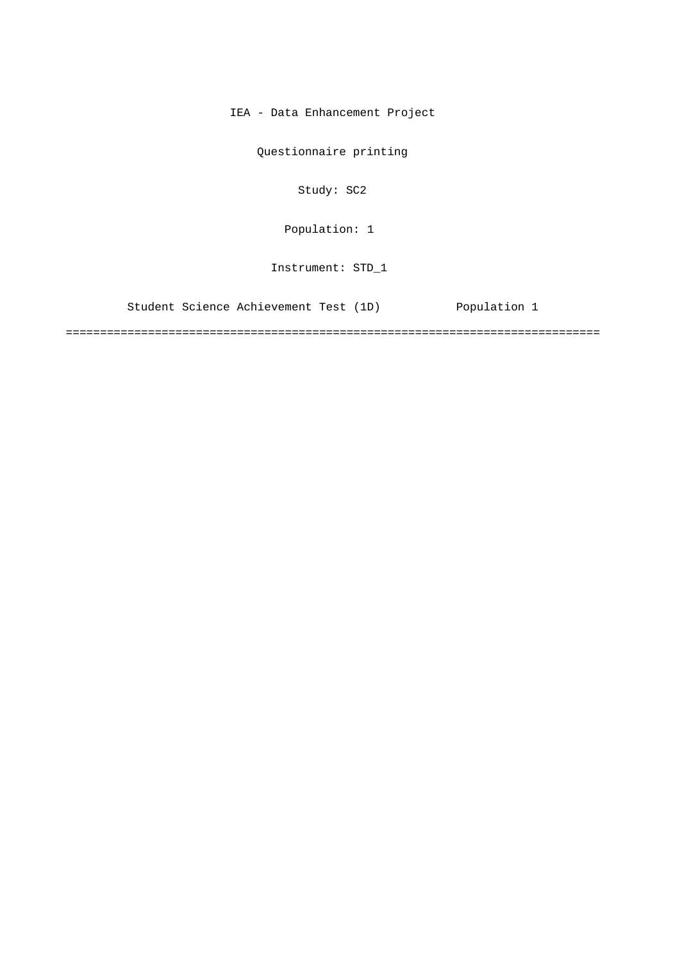IEA - Data Enhancement Project

Questionnaire printing

Study: SC2

Population: 1

Instrument: STD\_1

Student Science Achievement Test (1D) Population 1

==============================================================================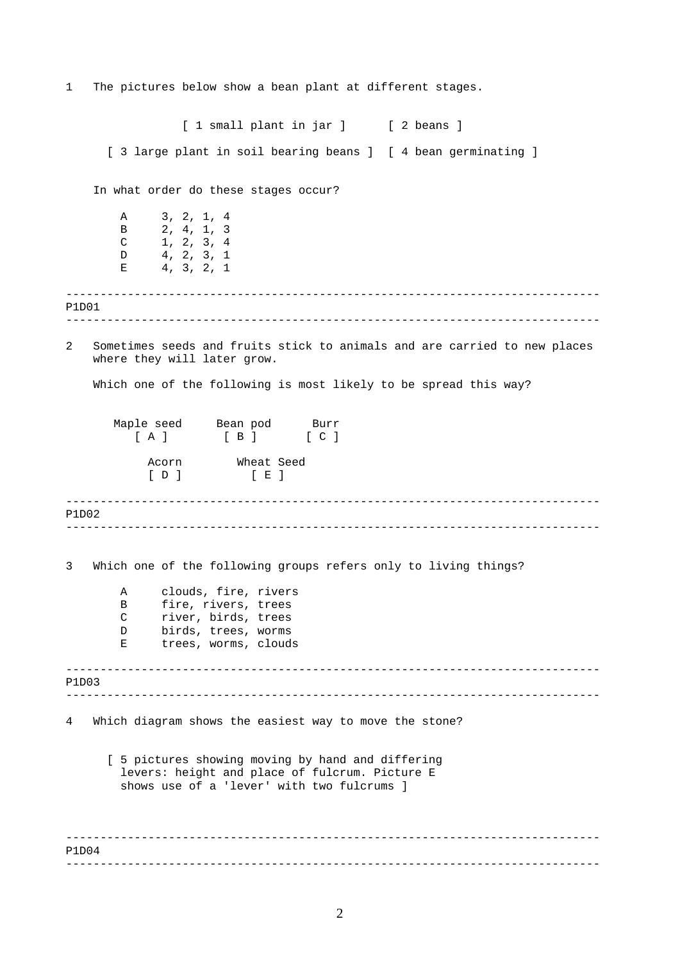1 The pictures below show a bean plant at different stages.

------------------------------------------------------------------------------ ------------------------------------------------------------------------------ ------------------------------------------------------------------------------ ------------------------------------------------------------------------------ ------------------------------------------------------------------------------ ------------------------------------------------------------------------------ ------------------------------------------------------------------------------ ------------------------------------------------------------------------------ [ 1 small plant in jar ] [ 2 beans ] [ 3 large plant in soil bearing beans ] [ 4 bean germinating ] In what order do these stages occur? A 3, 2, 1, 4 B 2, 4, 1, 3  $C$  1, 2, 3, 4 D 4, 2, 3, 1  $E$  4, 3, 2, 1 P1D01 2 Sometimes seeds and fruits stick to animals and are carried to new places where they will later grow. Which one of the following is most likely to be spread this way? Maple seed Bean pod Burr [ A ] [ B ] [ C ] Acorn Wheat Seed  $[D]$   $[E]$ P1D02 3 Which one of the following groups refers only to living things? A clouds, fire, rivers B fire, rivers, trees C river, birds, trees D birds, trees, worms E trees, worms, clouds P1D03 4 Which diagram shows the easiest way to move the stone? [ 5 pictures showing moving by hand and differing levers: height and place of fulcrum. Picture E shows use of a 'lever' with two fulcrums ] P1D04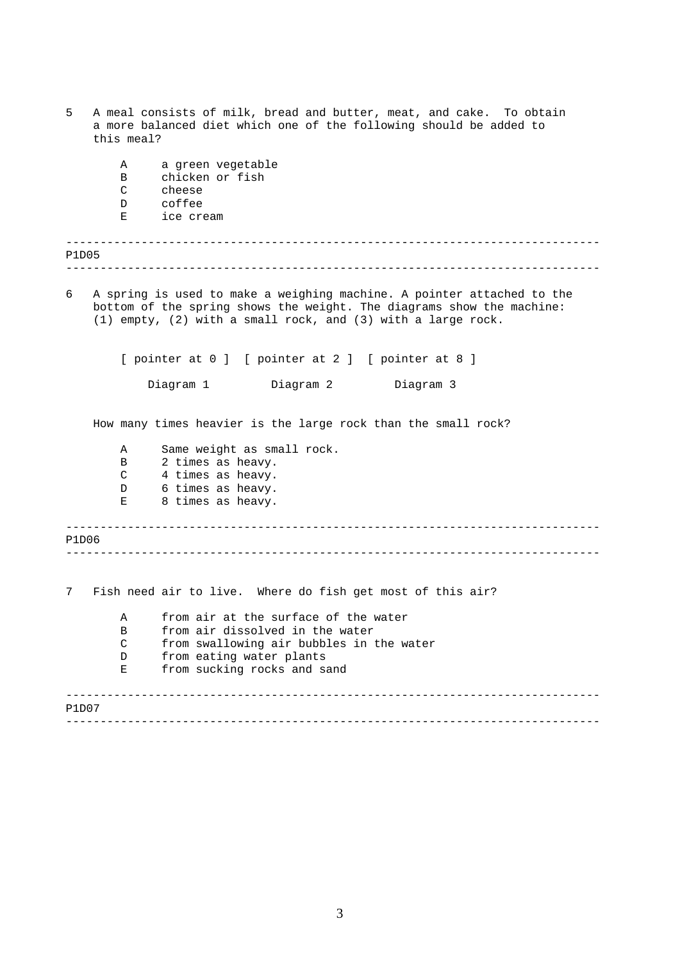| 5<br>A meal consists of milk, bread and butter, meat, and cake. To obtain<br>a more balanced diet which one of the following should be added to<br>this meal?                                                        |  |  |  |  |
|----------------------------------------------------------------------------------------------------------------------------------------------------------------------------------------------------------------------|--|--|--|--|
| a green vegetable<br>Α                                                                                                                                                                                               |  |  |  |  |
| chicken or fish<br>В                                                                                                                                                                                                 |  |  |  |  |
| C<br>cheese<br>coffee<br>D                                                                                                                                                                                           |  |  |  |  |
| ice cream<br>Е                                                                                                                                                                                                       |  |  |  |  |
| P1D05                                                                                                                                                                                                                |  |  |  |  |
|                                                                                                                                                                                                                      |  |  |  |  |
| 6<br>A spring is used to make a weighing machine. A pointer attached to the<br>bottom of the spring shows the weight. The diagrams show the machine:<br>(1) empty, (2) with a small rock, and (3) with a large rock. |  |  |  |  |
| [ pointer at 0 ] [ pointer at 2 ] [ pointer at 8 ]                                                                                                                                                                   |  |  |  |  |
| Diagram 1<br>Diagram 2<br>Diagram 3                                                                                                                                                                                  |  |  |  |  |
| How many times heavier is the large rock than the small rock?                                                                                                                                                        |  |  |  |  |
| Same weight as small rock.<br>Α                                                                                                                                                                                      |  |  |  |  |
| 2 times as heavy.<br>B                                                                                                                                                                                               |  |  |  |  |
| C<br>4 times as heavy.                                                                                                                                                                                               |  |  |  |  |
| 6 times as heavy.<br>D<br>8 times as heavy.<br>Е                                                                                                                                                                     |  |  |  |  |
| P1D06                                                                                                                                                                                                                |  |  |  |  |
|                                                                                                                                                                                                                      |  |  |  |  |
| 7<br>Fish need air to live. Where do fish get most of this air?                                                                                                                                                      |  |  |  |  |
| from air at the surface of the water<br>A                                                                                                                                                                            |  |  |  |  |
| from air dissolved in the water<br>В                                                                                                                                                                                 |  |  |  |  |
| $\mathsf{C}$<br>from swallowing air bubbles in the water                                                                                                                                                             |  |  |  |  |
| from eating water plants<br>D                                                                                                                                                                                        |  |  |  |  |
| from sucking rocks and sand<br>Ε                                                                                                                                                                                     |  |  |  |  |
| P1D07                                                                                                                                                                                                                |  |  |  |  |